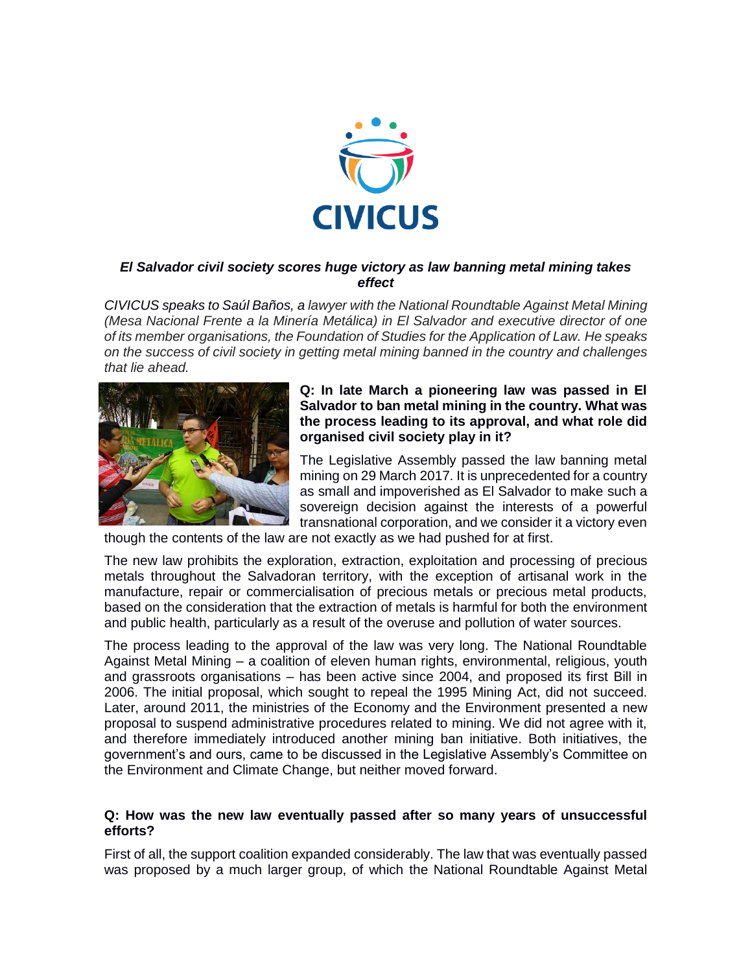

# *El Salvador civil society scores huge victory as law banning metal mining takes effect*

*CIVICUS speaks to Saúl Baños, a lawyer with the National Roundtable Against Metal Mining (Mesa Nacional Frente a la Minería Metálica) in El Salvador and executive director of one of its member organisations, the Foundation of Studies for the Application of Law. He speaks on the success of civil society in getting metal mining banned in the country and challenges that lie ahead.*



## **Q: In late March a pioneering law was passed in El Salvador to ban metal mining in the country. What was the process leading to its approval, and what role did organised civil society play in it?**

The Legislative Assembly passed the law banning metal mining on 29 March 2017. It is unprecedented for a country as small and impoverished as El Salvador to make such a sovereign decision against the interests of a powerful transnational corporation, and we consider it a victory even

though the contents of the law are not exactly as we had pushed for at first.

The new law prohibits the exploration, extraction, exploitation and processing of precious metals throughout the Salvadoran territory, with the exception of artisanal work in the manufacture, repair or commercialisation of precious metals or precious metal products, based on the consideration that the extraction of metals is harmful for both the environment and public health, particularly as a result of the overuse and pollution of water sources.

The process leading to the approval of the law was very long. The National Roundtable Against Metal Mining – a coalition of eleven human rights, environmental, religious, youth and grassroots organisations – has been active since 2004, and proposed its first Bill in 2006. The initial proposal, which sought to repeal the 1995 Mining Act, did not succeed. Later, around 2011, the ministries of the Economy and the Environment presented a new proposal to suspend administrative procedures related to mining. We did not agree with it, and therefore immediately introduced another mining ban initiative. Both initiatives, the government's and ours, came to be discussed in the Legislative Assembly's Committee on the Environment and Climate Change, but neither moved forward.

#### **Q: How was the new law eventually passed after so many years of unsuccessful efforts?**

First of all, the support coalition expanded considerably. The law that was eventually passed was proposed by a much larger group, of which the National Roundtable Against Metal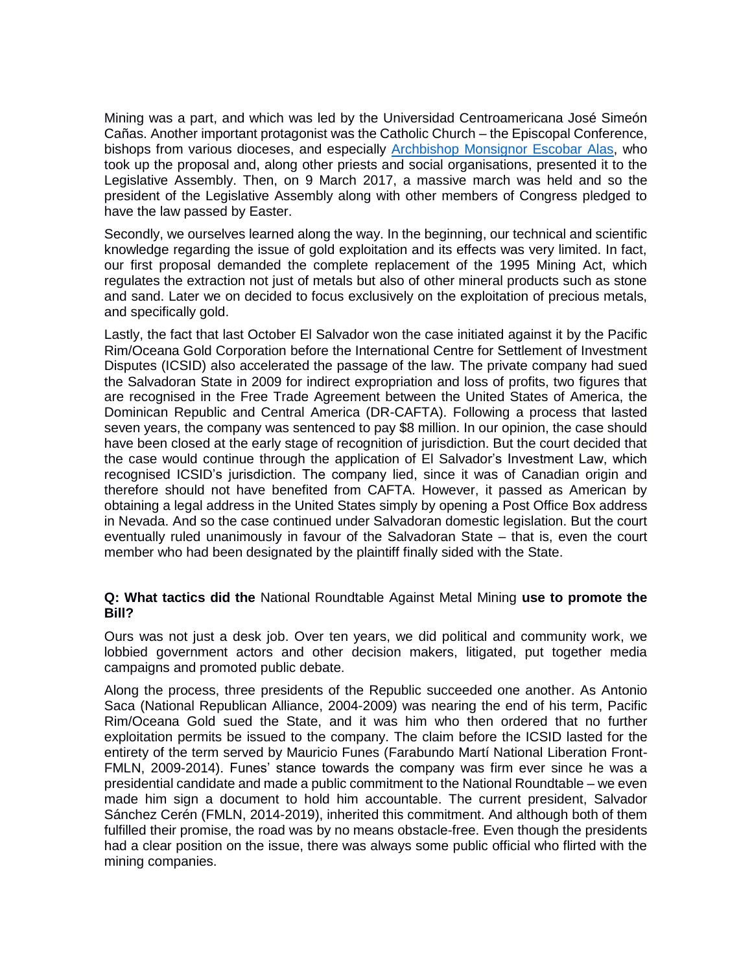Mining was a part, and which was led by the Universidad Centroamericana José Simeón Cañas. Another important protagonist was the Catholic Church – the Episcopal Conference, bishops from various dioceses, and especially [Archbishop Monsignor Escobar Alas,](http://verdaddigital.com/index.php/nacional/15383-15383) who took up the proposal and, along other priests and social organisations, presented it to the Legislative Assembly. Then, on 9 March 2017, a massive march was held and so the president of the Legislative Assembly along with other members of Congress pledged to have the law passed by Easter.

Secondly, we ourselves learned along the way. In the beginning, our technical and scientific knowledge regarding the issue of gold exploitation and its effects was very limited. In fact, our first proposal demanded the complete replacement of the 1995 Mining Act, which regulates the extraction not just of metals but also of other mineral products such as stone and sand. Later we on decided to focus exclusively on the exploitation of precious metals, and specifically gold.

Lastly, the fact that last October El Salvador won the case initiated against it by the Pacific Rim/Oceana Gold Corporation before the International Centre for Settlement of Investment Disputes (ICSID) also accelerated the passage of the law. The private company had sued the Salvadoran State in 2009 for indirect expropriation and loss of profits, two figures that are recognised in the Free Trade Agreement between the United States of America, the Dominican Republic and Central America (DR-CAFTA). Following a process that lasted seven years, the company was sentenced to pay \$8 million. In our opinion, the case should have been closed at the early stage of recognition of jurisdiction. But the court decided that the case would continue through the application of El Salvador's Investment Law, which recognised ICSID's jurisdiction. The company lied, since it was of Canadian origin and therefore should not have benefited from CAFTA. However, it passed as American by obtaining a legal address in the United States simply by opening a Post Office Box address in Nevada. And so the case continued under Salvadoran domestic legislation. But the court eventually ruled unanimously in favour of the Salvadoran State – that is, even the court member who had been designated by the plaintiff finally sided with the State.

## **Q: What tactics did the** National Roundtable Against Metal Mining **use to promote the Bill?**

Ours was not just a desk job. Over ten years, we did political and community work, we lobbied government actors and other decision makers, litigated, put together media campaigns and promoted public debate.

Along the process, three presidents of the Republic succeeded one another. As Antonio Saca (National Republican Alliance, 2004-2009) was nearing the end of his term, Pacific Rim/Oceana Gold sued the State, and it was him who then ordered that no further exploitation permits be issued to the company. The claim before the ICSID lasted for the entirety of the term served by Mauricio Funes (Farabundo Martí National Liberation Front-FMLN, 2009-2014). Funes' stance towards the company was firm ever since he was a presidential candidate and made a public commitment to the National Roundtable – we even made him sign a document to hold him accountable. The current president, Salvador Sánchez Cerén (FMLN, 2014-2019), inherited this commitment. And although both of them fulfilled their promise, the road was by no means obstacle-free. Even though the presidents had a clear position on the issue, there was always some public official who flirted with the mining companies.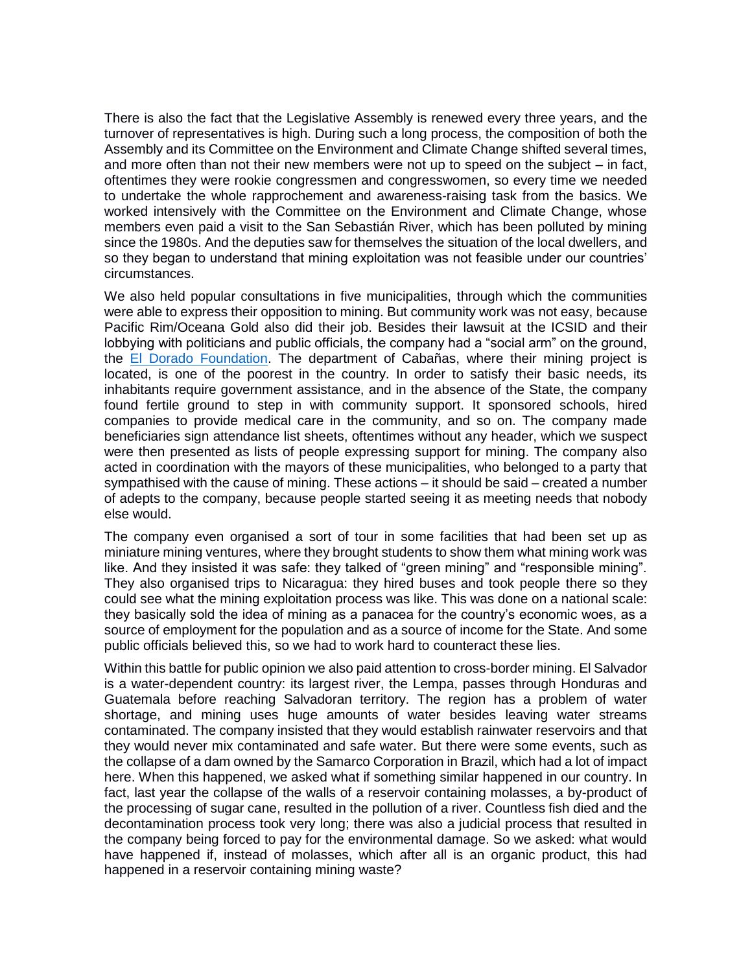There is also the fact that the Legislative Assembly is renewed every three years, and the turnover of representatives is high. During such a long process, the composition of both the Assembly and its Committee on the Environment and Climate Change shifted several times, and more often than not their new members were not up to speed on the subject – in fact, oftentimes they were rookie congressmen and congresswomen, so every time we needed to undertake the whole rapprochement and awareness-raising task from the basics. We worked intensively with the Committee on the Environment and Climate Change, whose members even paid a visit to the San Sebastián River, which has been polluted by mining since the 1980s. And the deputies saw for themselves the situation of the local dwellers, and so they began to understand that mining exploitation was not feasible under our countries' circumstances.

We also held popular consultations in five municipalities, through which the communities were able to express their opposition to mining. But community work was not easy, because Pacific Rim/Oceana Gold also did their job. Besides their lawsuit at the ICSID and their lobbying with politicians and public officials, the company had a "social arm" on the ground, the [El Dorado Foundation.](https://www.ocmal.org/fundacion-el-dorado-el-brazo-social-de-oceana-gold/) The department of Cabañas, where their mining project is located, is one of the poorest in the country. In order to satisfy their basic needs, its inhabitants require government assistance, and in the absence of the State, the company found fertile ground to step in with community support. It sponsored schools, hired companies to provide medical care in the community, and so on. The company made beneficiaries sign attendance list sheets, oftentimes without any header, which we suspect were then presented as lists of people expressing support for mining. The company also acted in coordination with the mayors of these municipalities, who belonged to a party that sympathised with the cause of mining. These actions – it should be said – created a number of adepts to the company, because people started seeing it as meeting needs that nobody else would.

The company even organised a sort of tour in some facilities that had been set up as miniature mining ventures, where they brought students to show them what mining work was like. And they insisted it was safe: they talked of "green mining" and "responsible mining". They also organised trips to Nicaragua: they hired buses and took people there so they could see what the mining exploitation process was like. This was done on a national scale: they basically sold the idea of mining as a panacea for the country's economic woes, as a source of employment for the population and as a source of income for the State. And some public officials believed this, so we had to work hard to counteract these lies.

Within this battle for public opinion we also paid attention to cross-border mining. El Salvador is a water-dependent country: its largest river, the Lempa, passes through Honduras and Guatemala before reaching Salvadoran territory. The region has a problem of water shortage, and mining uses huge amounts of water besides leaving water streams contaminated. The company insisted that they would establish rainwater reservoirs and that they would never mix contaminated and safe water. But there were some events, such as the collapse of a dam owned by the Samarco Corporation in Brazil, which had a lot of impact here. When this happened, we asked what if something similar happened in our country. In fact, last year the collapse of the walls of a reservoir containing molasses, a by-product of the processing of sugar cane, resulted in the pollution of a river. Countless fish died and the decontamination process took very long; there was also a judicial process that resulted in the company being forced to pay for the environmental damage. So we asked: what would have happened if, instead of molasses, which after all is an organic product, this had happened in a reservoir containing mining waste?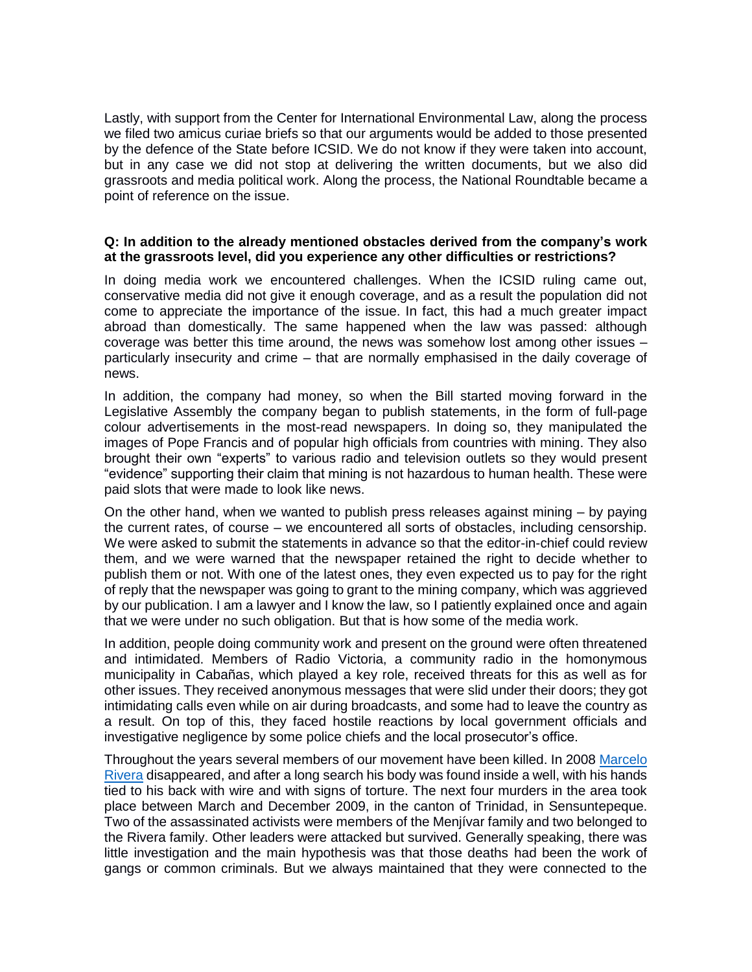Lastly, with support from the Center for International Environmental Law, along the process we filed two amicus curiae briefs so that our arguments would be added to those presented by the defence of the State before ICSID. We do not know if they were taken into account, but in any case we did not stop at delivering the written documents, but we also did grassroots and media political work. Along the process, the National Roundtable became a point of reference on the issue.

#### **Q: In addition to the already mentioned obstacles derived from the company's work at the grassroots level, did you experience any other difficulties or restrictions?**

In doing media work we encountered challenges. When the ICSID ruling came out, conservative media did not give it enough coverage, and as a result the population did not come to appreciate the importance of the issue. In fact, this had a much greater impact abroad than domestically. The same happened when the law was passed: although coverage was better this time around, the news was somehow lost among other issues – particularly insecurity and crime – that are normally emphasised in the daily coverage of news.

In addition, the company had money, so when the Bill started moving forward in the Legislative Assembly the company began to publish statements, in the form of full-page colour advertisements in the most-read newspapers. In doing so, they manipulated the images of Pope Francis and of popular high officials from countries with mining. They also brought their own "experts" to various radio and television outlets so they would present "evidence" supporting their claim that mining is not hazardous to human health. These were paid slots that were made to look like news.

On the other hand, when we wanted to publish press releases against mining – by paying the current rates, of course – we encountered all sorts of obstacles, including censorship. We were asked to submit the statements in advance so that the editor-in-chief could review them, and we were warned that the newspaper retained the right to decide whether to publish them or not. With one of the latest ones, they even expected us to pay for the right of reply that the newspaper was going to grant to the mining company, which was aggrieved by our publication. I am a lawyer and I know the law, so I patiently explained once and again that we were under no such obligation. But that is how some of the media work.

In addition, people doing community work and present on the ground were often threatened and intimidated. Members of Radio Victoria, a community radio in the homonymous municipality in Cabañas, which played a key role, received threats for this as well as for other issues. They received anonymous messages that were slid under their doors; they got intimidating calls even while on air during broadcasts, and some had to leave the country as a result. On top of this, they faced hostile reactions by local government officials and investigative negligence by some police chiefs and the local prosecutor's office.

Throughout the years several members of our movement have been killed. In 2008 [Marcelo](http://esnomineria.blogspot.co.za/2009/07/asesinato-de-marcelo-rivera.html)  [Rivera](http://esnomineria.blogspot.co.za/2009/07/asesinato-de-marcelo-rivera.html) disappeared, and after a long search his body was found inside a well, with his hands tied to his back with wire and with signs of torture. The next four murders in the area took place between March and December 2009, in the canton of Trinidad, in Sensuntepeque. Two of the assassinated activists were members of the Menjívar family and two belonged to the Rivera family. Other leaders were attacked but survived. Generally speaking, there was little investigation and the main hypothesis was that those deaths had been the work of gangs or common criminals. But we always maintained that they were connected to the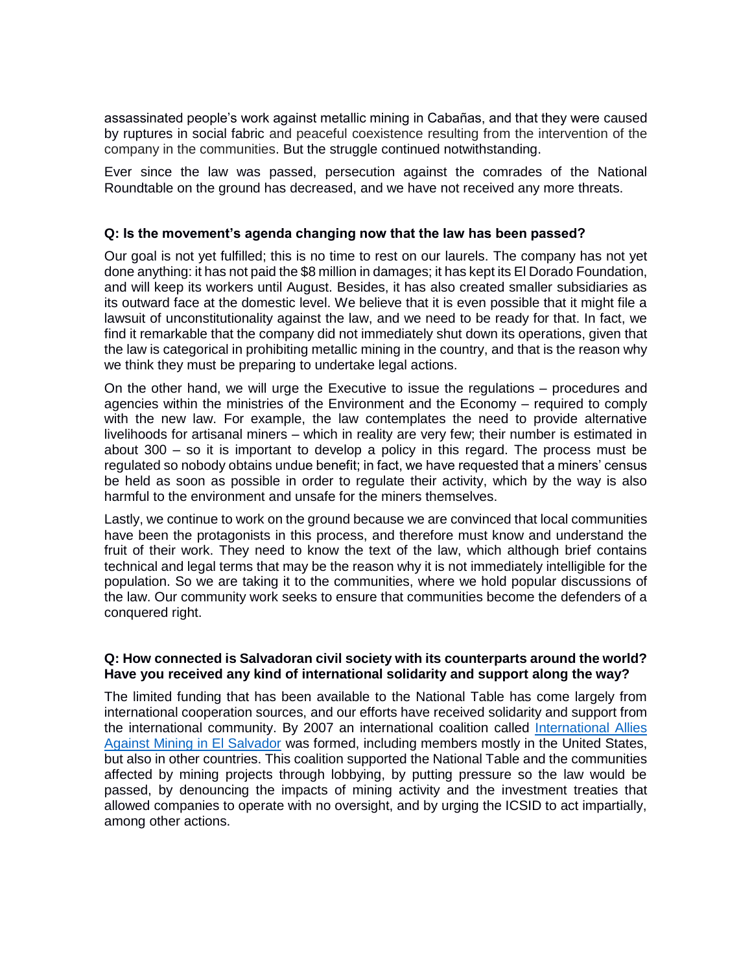assassinated people's work against metallic mining in Cabañas, and that they were caused by ruptures in social fabric and peaceful coexistence resulting from the intervention of the company in the communities. But the struggle continued notwithstanding.

Ever since the law was passed, persecution against the comrades of the National Roundtable on the ground has decreased, and we have not received any more threats.

### **Q: Is the movement's agenda changing now that the law has been passed?**

Our goal is not yet fulfilled; this is no time to rest on our laurels. The company has not yet done anything: it has not paid the \$8 million in damages; it has kept its El Dorado Foundation, and will keep its workers until August. Besides, it has also created smaller subsidiaries as its outward face at the domestic level. We believe that it is even possible that it might file a lawsuit of unconstitutionality against the law, and we need to be ready for that. In fact, we find it remarkable that the company did not immediately shut down its operations, given that the law is categorical in prohibiting metallic mining in the country, and that is the reason why we think they must be preparing to undertake legal actions.

On the other hand, we will urge the Executive to issue the regulations – procedures and agencies within the ministries of the Environment and the Economy – required to comply with the new law. For example, the law contemplates the need to provide alternative livelihoods for artisanal miners – which in reality are very few; their number is estimated in about 300 – so it is important to develop a policy in this regard. The process must be regulated so nobody obtains undue benefit; in fact, we have requested that a miners' census be held as soon as possible in order to regulate their activity, which by the way is also harmful to the environment and unsafe for the miners themselves.

Lastly, we continue to work on the ground because we are convinced that local communities have been the protagonists in this process, and therefore must know and understand the fruit of their work. They need to know the text of the law, which although brief contains technical and legal terms that may be the reason why it is not immediately intelligible for the population. So we are taking it to the communities, where we hold popular discussions of the law. Our community work seeks to ensure that communities become the defenders of a conquered right.

## **Q: How connected is Salvadoran civil society with its counterparts around the world? Have you received any kind of international solidarity and support along the way?**

The limited funding that has been available to the National Table has come largely from international cooperation sources, and our efforts have received solidarity and support from the international community. By 2007 an international coalition called [International Allies](http://www.nodal.am/2016/12/el-salvador-organizaciones-sociales-lanzan-una-campana-internacional-para-que-la-minera-oceana-gold-salga-del-pais/)  [Against Mining in El Salvador](http://www.nodal.am/2016/12/el-salvador-organizaciones-sociales-lanzan-una-campana-internacional-para-que-la-minera-oceana-gold-salga-del-pais/) was formed, including members mostly in the United States, but also in other countries. This coalition supported the National Table and the communities affected by mining projects through lobbying, by putting pressure so the law would be passed, by denouncing the impacts of mining activity and the investment treaties that allowed companies to operate with no oversight, and by urging the ICSID to act impartially, among other actions.